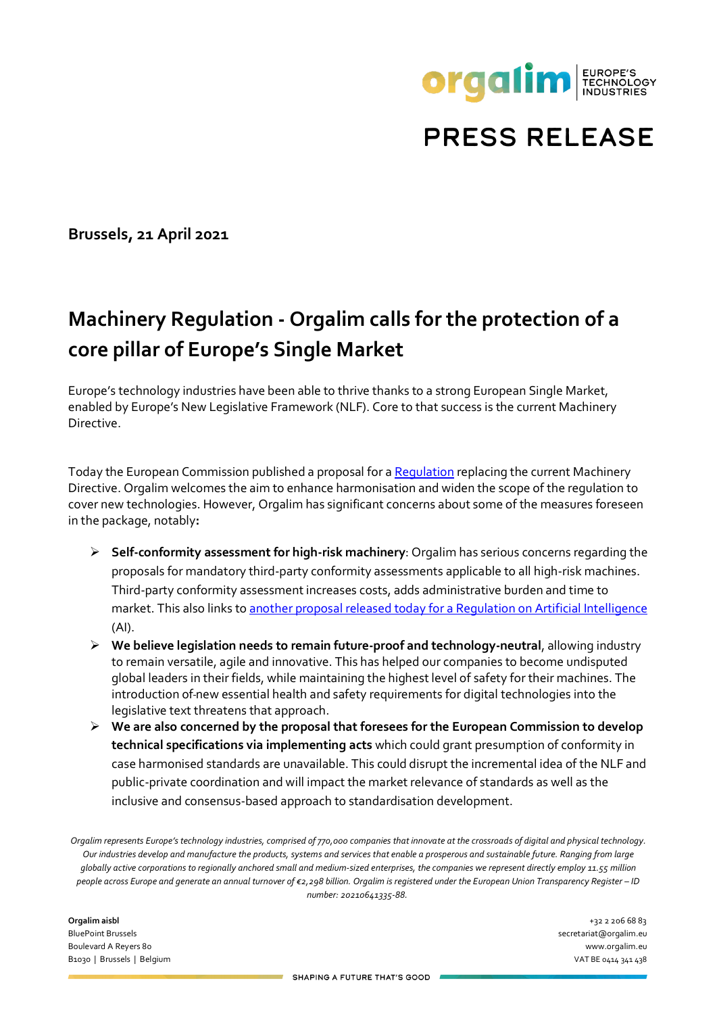

## **PRESS RELEASE**

**Brussels, 21 April 2021**

## **Machinery Regulation - Orgalim calls for the protection of a core pillar of Europe's Single Market**

Europe's technology industries have been able to thrive thanks to a strong European Single Market, enabled by Europe's New Legislative Framework (NLF). Core to that success is the current Machinery Directive.

Today the European Commission published a proposal for [a Regulation](https://ec.europa.eu/docsroom/documents/45508) replacing the current Machinery Directive. Orgalim welcomes the aim to enhance harmonisation and widen the scope of the regulation to cover new technologies. However, Orgalim has significant concerns about some of the measures foreseen in the package, notably**:**

- **Self-conformity assessment for high-risk machinery**: Orgalim has serious concerns regarding the proposals for mandatory third-party conformity assessments applicable to all high-risk machines. Third-party conformity assessment increases costs, adds administrative burden and time to market. This also links to another [proposal released today for a Regulation on Artificial Intelligence](https://orgalim.eu/news/european-regulation-artificial-intelligence-orgalim-calls-legal-clarity-and-workability) (AI).
- **We believe legislation needs to remain future-proof and technology-neutral**, allowing industry to remain versatile, agile and innovative. This has helped our companies to become undisputed global leaders in their fields, while maintaining the highest level of safety for their machines. The introduction of new essential health and safety requirements for digital technologies into the legislative text threatens that approach.
- **We are also concerned by the proposal that foresees for the European Commission to develop technical specifications via implementing acts** which could grant presumption of conformity in case harmonised standards are unavailable. This could disrupt the incremental idea of the NLF and public-private coordination and will impact the market relevance of standards as well as the inclusive and consensus-based approach to standardisation development.

*Orgalim represents Europe's technology industries, comprised of 770,000 companies that innovate at the crossroads of digital and physical technology. Our industries develop and manufacture the products, systems and services that enable a prosperous and sustainable future. Ranging from large globally active corporations to regionally anchored small and medium-sized enterprises, the companies we represent directly employ 11.55 million people across Europe and generate an annual turnover of €2,298 billion. Orgalim is registered under the European Union Transparency Register – ID number: 20210641335-88.* 

**Orgalim aisbl** +32 2 206 68 83 BluePoint Brussels secretariat@orgalim.eu Boulevard A Reyers 80 www.orgalim.eu B1030 | Brussels | Belgium VAT BE 0414 341 438